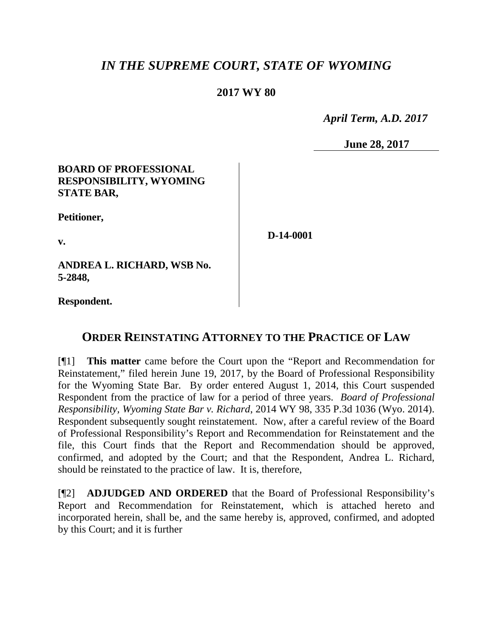# *IN THE SUPREME COURT, STATE OF WYOMING*

## **2017 WY 80**

 *April Term, A.D. 2017*

**June 28, 2017**

### **BOARD OF PROFESSIONAL RESPONSIBILITY, WYOMING STATE BAR,**

**Petitioner,**

**v.**

**D-14-0001**

**ANDREA L. RICHARD, WSB No. 5-2848,**

**Respondent.**

## **ORDER REINSTATING ATTORNEY TO THE PRACTICE OF LAW**

[¶1] **This matter** came before the Court upon the "Report and Recommendation for Reinstatement," filed herein June 19, 2017, by the Board of Professional Responsibility for the Wyoming State Bar. By order entered August 1, 2014, this Court suspended Respondent from the practice of law for a period of three years. *Board of Professional Responsibility, Wyoming State Bar v. Richard*, 2014 WY 98, 335 P.3d 1036 (Wyo. 2014). Respondent subsequently sought reinstatement. Now, after a careful review of the Board of Professional Responsibility's Report and Recommendation for Reinstatement and the file, this Court finds that the Report and Recommendation should be approved, confirmed, and adopted by the Court; and that the Respondent, Andrea L. Richard, should be reinstated to the practice of law. It is, therefore,

[¶2] **ADJUDGED AND ORDERED** that the Board of Professional Responsibility's Report and Recommendation for Reinstatement, which is attached hereto and incorporated herein, shall be, and the same hereby is, approved, confirmed, and adopted by this Court; and it is further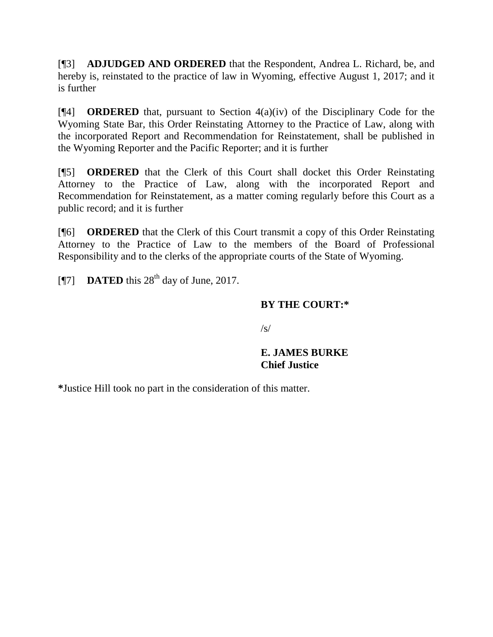[¶3] **ADJUDGED AND ORDERED** that the Respondent, Andrea L. Richard, be, and hereby is, reinstated to the practice of law in Wyoming, effective August 1, 2017; and it is further

[¶4] **ORDERED** that, pursuant to Section 4(a)(iv) of the Disciplinary Code for the Wyoming State Bar, this Order Reinstating Attorney to the Practice of Law, along with the incorporated Report and Recommendation for Reinstatement, shall be published in the Wyoming Reporter and the Pacific Reporter; and it is further

[¶5] **ORDERED** that the Clerk of this Court shall docket this Order Reinstating Attorney to the Practice of Law, along with the incorporated Report and Recommendation for Reinstatement, as a matter coming regularly before this Court as a public record; and it is further

[¶6] **ORDERED** that the Clerk of this Court transmit a copy of this Order Reinstating Attorney to the Practice of Law to the members of the Board of Professional Responsibility and to the clerks of the appropriate courts of the State of Wyoming.

[ $\textsf{N}$ 7] **DATED** this 28<sup>th</sup> day of June, 2017.

### **BY THE COURT:\***

 $\sqrt{s}$ 

#### **E. JAMES BURKE Chief Justice**

**\***Justice Hill took no part in the consideration of this matter.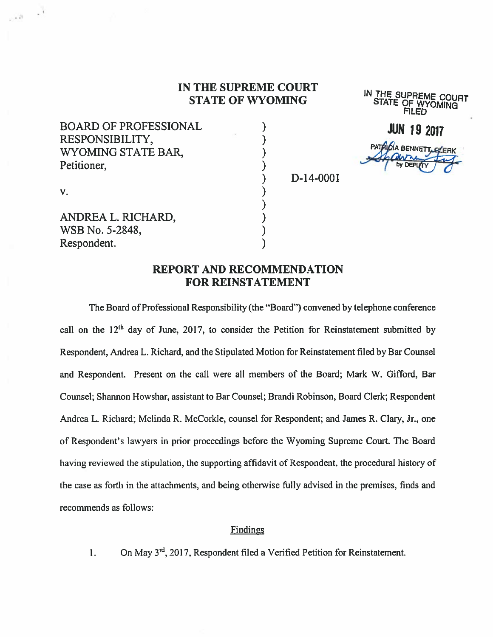#### IN THE SUPREME COURT STATE OF WYOMING

BOARD OF PROFESSIONAL RESPONSIBILITY, WYOMING STATE BAR, Petitioner,

IN THE SUPREME COURT STATE OF WYOMING FILED

**JUN 19 2017** PATRICIA BENNETT

D-14-0001

v.

 $\sim$   $\sim$ 

ANDREA L. RICHARD, WSB No. 5-2848, Respondent.

## REPORT AND RECOMMENDATION FOR REINSTATEMENT

)

The Board of Professional Responsibility (the "Board") convened by telephone conference call on the  $12<sup>th</sup>$  day of June, 2017, to consider the Petition for Reinstatement submitted by Respondent, Andrea L. Richard, and the Stipulated Motion for Reinstatement filed by Bar Counsel and Respondent. Present on the call were all members of the Board; Mark W. Gifford, Bar Counsel; Shannon Howshar, assistant to Bar Counsel; Brandi Robinson, Board Clerk; Respondent Andrea L. Richard; Melinda R. McCorkle, counsel for Respondent; and James R. Clary, Jr., one of Respondent's lawyers in prior proceedings before the Wyoming Supreme Court. The Board having reviewed the stipulation, the supporting affidavit of Respondent, the procedural history of the case as forth in the attachments, and being otherwise fiilly advised in the premises, finds and recommends as follows:

#### **Findings**

1. On May  $3<sup>rd</sup>$ , 2017, Respondent filed a Verified Petition for Reinstatement.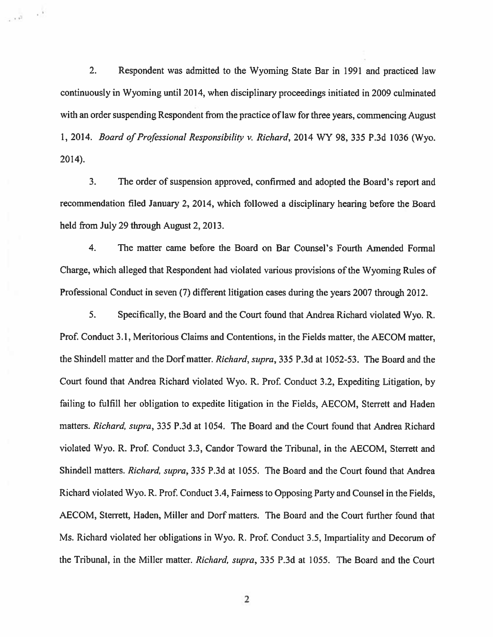2. Respondent was admitted to the Wyoming State Bar in 1991 and practiced law continuously in Wyoming until 2014, when disciplinary proceedings initiated in 2009 culminated with an order suspending Respondent from the practice of law for three years, commencing August 1, 2014. Board of Professional Responsibility v. Richard, 2014 WY 98, 335 P.3d 1036 (Wyo. 2014).

فبالقبي

3. The order of suspension approved, confirmed and adopted the Board's report and recommendation filed January 2, 2014, which followed a disciplinary hearing before the Board held from July 29 through August 2, 2013.

4. The matter came before the Board on Bar Counsel's Fourth Amended Formal Charge, which alleged that Respondent had violated various provisions of the Wyoming Rules of Professional Conduct in seven (7) different litigation cases during the years 2007 through 2012.

5. Specifically, the Board and the Court found that Andrea Richard violated Wyo. R. Prof. Conduct 3.1, Meritorious Claims and Contentions, in the Fields matter, the AECOM matter, the Shindell matter and the Dorf matter. Richard, supra, 335 P.3d at 1052-53. The Board and the Court found that Andrea Richard violated Wyo. R. Prof. Conduct 3.2, Expediting Litigation, by failing to fulfill her obligation to expedite litigation in the Fields, AECOM, Sterrett and Haden matters. Richard, supra, 335 P.3d at 1054. The Board and the Court found that Andrea Richard violated Wyo. R. Prof. Conduct 3.3, Candor Toward the Tribunal, in the AECOM, Sterrett and Shindell matters. Richard, supra, 335 P.3d at 1055. The Board and the Court found that Andrea Richard violated Wyo. R. Prof. Conduct 3.4, Fairness to Opposing Party and Counsel in the Fields, AECOM, Sterrett, Haden, Miller and Dorf matters. The Board and the Court further found that Ms. Richard violated her obligations in Wyo. R. Prof. Conduct 3.5, Impartiality and Decorum of the Tribunal, in the MilIer matter. Richard, supra, 335 P.3d at 1055. The Board and the Court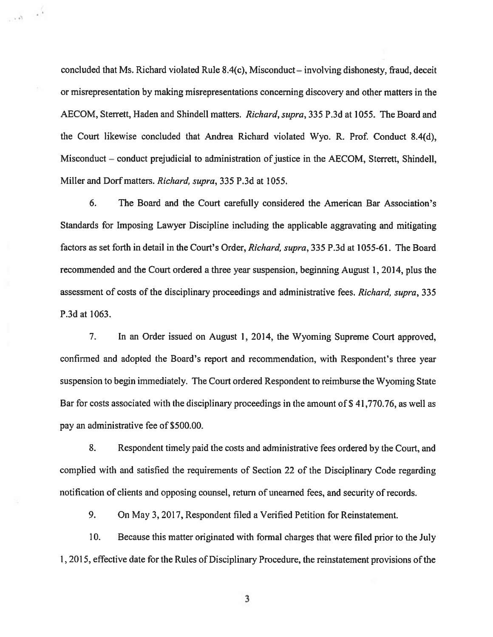concluded that Ms. Richard violated Rule 8.4(c), Misconduct — involving dishonesty, fraud, deceit or misrepresentation by making misrepresentations concerning discovery and other matters in the AECOM, Sterrett, Haden and Shindell matters. Richard, supra, 335 P.3d at 1055. The Board and the Court likewise concluded that Andrea Richard violated Wyo. R. Prof. Conduct 8.4(d), Misconduct — conduct prejudicial to administration of justice in the AECOM, Sterrett, Shindell, Miller and Dorf matters. Richard, supra, 335 P.3d at 1055.

 $\frac{1}{2}$  ,  $\alpha$ 

6. The Board and the Court carefully considered the American Bar Association's Standards for Imposing Lawyer Discipline including the applicable aggravating and mitigating factors as set forth in detail in the Court's Order, Richard, supra, 335 P.3d at 1055-61. The Board recommended and the Court ordered a three year suspension, beginning August 1, 2014, plus the assessment of costs of the disciplinary proceedings and administrative fees. Richard, supra, 335 P.3d at 1063.

7. In an Order issued on August 1, 2014, the Wyoming Supreme Court approved, confirmed and adopted the Board's report and recommendation, with Respondent's three year suspension to begin immediately. The Court ordered Respondent to reimburse the Wyoming State Bar for costs associated with the disciplinary proceedings in the amount of \$ 41,770.76, as well as pay an administrative fee of \$500.00.

8. Respondent timely paid the costs and administrative fees ordered by the Court, and complied with and satisfied the requirements of Section 22 of the Disciplinary Code regarding notification of clients and opposing counsel, return of unearned fees, and security of records.

9. On May 3, 2017, Respondent filed a Verified Petition for Reinstatement.

10. Because this matter originated with formal charges that were filed prior to the July 1, 2015, effective date for the Rules of Disciplinary Procedure, the reinstatement provisions of the

3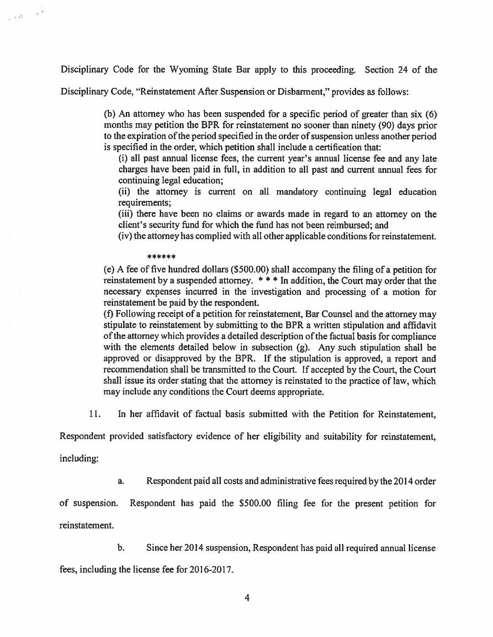Disciplinary Code for the Wyoming State Bar apply to this proceeding. Section 24 of the

Disciplinary Code, "Reinstatement After Suspension or Disbarment," provides as follows:

(b) An attorney who has been suspended for a specific period of greater than six (6) months may petition the BPR for reinstatement no sooner than ninety (90) days prior to the expiration of the period specified in the order of suspension unless another period is specified in the order, which petition shall include a certification that:

(i) all past annual license fees, the current year's annual license fee and any late charges have been paid in fuIl, in addition to all past and current annual fees for continuing legal education;

(ii) the attorney is current on all mandatory continuing legal education requirements;

(iii) there have been no claims or awards made in regard to an attorney on the client's security fund for which the fund has not been reimbursed; and

(iv) the attorney has complied with all other applicable conditions for reinstatement.

\*\*\*\*\*\*

(e) A fee of five hundred dollars (\$500.00) shall accompany the filing of a petition for reinstatement by a suspended attorney. \*\*\* In addition, the Court may order that the necessary expenses incurred in the investigation and processing of a motion for reinstatement be paid by the respondent.

(f) Following receipt of a petition for reinstatement, Bar Counsel and the attorney may stipulate to reinstatement by submitting to the BPR a written stipulation and affidavit of the attorney which provides a detailed description of the factual basis for compliance with the elements detailed below in subsection (g). Any such stipulation shall be approved or disapproved by the BPR. If the stipulation is approved, a report and recommendation shall be transmitted to the Court. If accepted by the Court, the Court shall issue its order stating that the attorney is reinstated to the practice of law, which may include any conditions the Court deems appropriate.

11. In her affidavit of factual basis submitted with the Petition for Reinstatement,

Respondent provided satisfactory evidence of her eligibility and suitability for reinstatement,

including:

 $\sim 8-10^8$ 

a. Respondent paid all costs and administrative fees required by the 2014 order

of suspension. Respondent has paid the \$500.00 filing fee for the present petition for reinstatement.

b. Since her 2014 suspension, Respondent has paid all required annual license

fees, including the license fee for 2016-2017.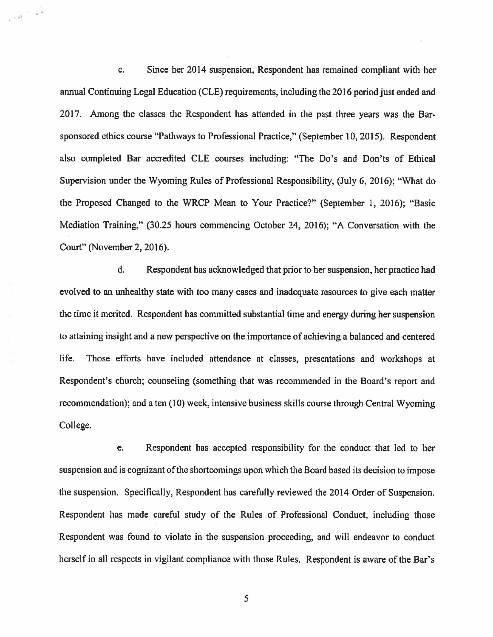c. Since her 2014 suspension, Respondent has remained compliant with her annual Continuing Legal Education (CLE) requirements, including the 2016 period just ended and 2017. Among the classes the Respondent has attended in the past three years was the Barsponsored ethics course "Pathways to Professional Practice," (September 10, 2015). Respondent also completed Bar accredited CLE courses including: "The Do's and Don'ts of Ethical Supervision under the Wyoming Rules of Professional Responsibility, (July 6, 2016); "What do the Proposed Changed to the WRCP Mean to Your Practice?" (September 1, 2016); "Basic Mediation Training," (30.25 hours commencing October 24, 2016); "A Conversation with the Court" (November 2, 2016).

 $\epsilon_{\rm e}$  ,  $\epsilon_{\rm e}$ 

d. Respondent has acknowledged that prior to her suspension, her practice had evolved to an unhealthy state with too many cases and inadequate resources to give each matter the time it merited. Respondent has committed substantial time and energy during her suspension to attaining insight and a new perspective on the importance of achieving a balanced and centered Iife. Those efforts have included attendance at classes, presentations and workshops at Respondent's church; counseling (something that was recommended in the Board's report and recommendation); and a ten (10) week, intensive business skills course through Central Wyoming College.

e. Respondent has accepted responsibility for the conduct that led to her suspension and is cognizant of the shortcomings upon which the Board based its decision to impose the suspension. Specifically, Respondent has carefiilly reviewed the 2014 Order of Suspension. Respondent has made careful study of the Rules of Professional Conduct, including those Respondent was found to violate in the suspension proceeding, and will endeavor to conduct herself in all respects in vigilant compliance with those Rules. Respondent is aware of the Bar's

5